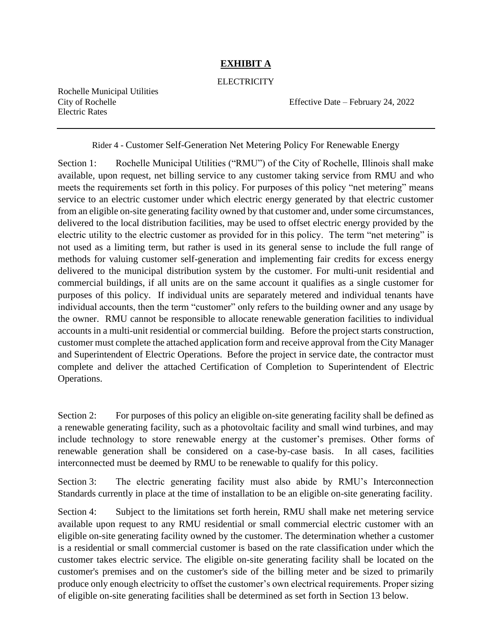## **EXHIBIT A**

## **ELECTRICITY**

Rochelle Municipal Utilities Electric Rates

City of Rochelle Effective Date – February 24, 2022

Rider 4 - Customer Self-Generation Net Metering Policy For Renewable Energy

Section 1: Rochelle Municipal Utilities ("RMU") of the City of Rochelle, Illinois shall make available, upon request, net billing service to any customer taking service from RMU and who meets the requirements set forth in this policy. For purposes of this policy "net metering" means service to an electric customer under which electric energy generated by that electric customer from an eligible on-site generating facility owned by that customer and, under some circumstances, delivered to the local distribution facilities, may be used to offset electric energy provided by the electric utility to the electric customer as provided for in this policy. The term "net metering" is not used as a limiting term, but rather is used in its general sense to include the full range of methods for valuing customer self-generation and implementing fair credits for excess energy delivered to the municipal distribution system by the customer. For multi-unit residential and commercial buildings, if all units are on the same account it qualifies as a single customer for purposes of this policy. If individual units are separately metered and individual tenants have individual accounts, then the term "customer" only refers to the building owner and any usage by the owner. RMU cannot be responsible to allocate renewable generation facilities to individual accounts in a multi-unit residential or commercial building. Before the project starts construction, customer must complete the attached application form and receive approval from the City Manager and Superintendent of Electric Operations. Before the project in service date, the contractor must complete and deliver the attached Certification of Completion to Superintendent of Electric Operations.

Section 2: For purposes of this policy an eligible on-site generating facility shall be defined as a renewable generating facility, such as a photovoltaic facility and small wind turbines, and may include technology to store renewable energy at the customer's premises. Other forms of renewable generation shall be considered on a case-by-case basis. In all cases, facilities interconnected must be deemed by RMU to be renewable to qualify for this policy.

Section 3: The electric generating facility must also abide by RMU's Interconnection Standards currently in place at the time of installation to be an eligible on-site generating facility.

Section 4: Subject to the limitations set forth herein, RMU shall make net metering service available upon request to any RMU residential or small commercial electric customer with an eligible on-site generating facility owned by the customer. The determination whether a customer is a residential or small commercial customer is based on the rate classification under which the customer takes electric service. The eligible on-site generating facility shall be located on the customer's premises and on the customer's side of the billing meter and be sized to primarily produce only enough electricity to offset the customer's own electrical requirements. Proper sizing of eligible on-site generating facilities shall be determined as set forth in Section 13 below.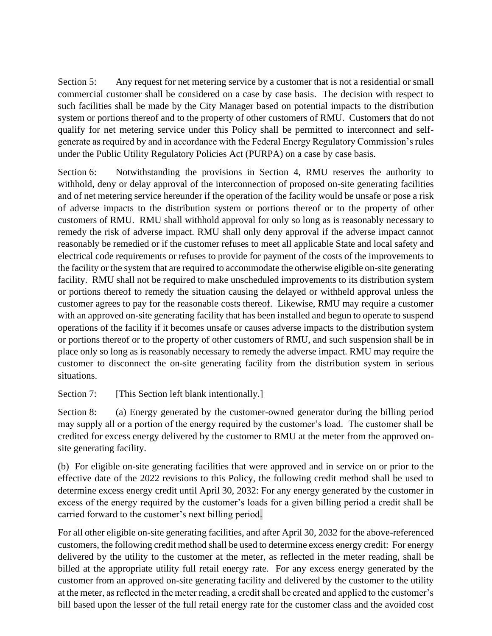Section 5: Any request for net metering service by a customer that is not a residential or small commercial customer shall be considered on a case by case basis. The decision with respect to such facilities shall be made by the City Manager based on potential impacts to the distribution system or portions thereof and to the property of other customers of RMU. Customers that do not qualify for net metering service under this Policy shall be permitted to interconnect and selfgenerate as required by and in accordance with the Federal Energy Regulatory Commission's rules under the Public Utility Regulatory Policies Act (PURPA) on a case by case basis.

Section 6: Notwithstanding the provisions in Section 4, RMU reserves the authority to withhold, deny or delay approval of the interconnection of proposed on-site generating facilities and of net metering service hereunder if the operation of the facility would be unsafe or pose a risk of adverse impacts to the distribution system or portions thereof or to the property of other customers of RMU. RMU shall withhold approval for only so long as is reasonably necessary to remedy the risk of adverse impact. RMU shall only deny approval if the adverse impact cannot reasonably be remedied or if the customer refuses to meet all applicable State and local safety and electrical code requirements or refuses to provide for payment of the costs of the improvements to the facility or the system that are required to accommodate the otherwise eligible on-site generating facility. RMU shall not be required to make unscheduled improvements to its distribution system or portions thereof to remedy the situation causing the delayed or withheld approval unless the customer agrees to pay for the reasonable costs thereof. Likewise, RMU may require a customer with an approved on-site generating facility that has been installed and begun to operate to suspend operations of the facility if it becomes unsafe or causes adverse impacts to the distribution system or portions thereof or to the property of other customers of RMU, and such suspension shall be in place only so long as is reasonably necessary to remedy the adverse impact. RMU may require the customer to disconnect the on-site generating facility from the distribution system in serious situations.

Section 7: [This Section left blank intentionally.]

Section 8: (a) Energy generated by the customer-owned generator during the billing period may supply all or a portion of the energy required by the customer's load. The customer shall be credited for excess energy delivered by the customer to RMU at the meter from the approved onsite generating facility.

(b) For eligible on-site generating facilities that were approved and in service on or prior to the effective date of the 2022 revisions to this Policy, the following credit method shall be used to determine excess energy credit until April 30, 2032: For any energy generated by the customer in excess of the energy required by the customer's loads for a given billing period a credit shall be carried forward to the customer's next billing period.

For all other eligible on-site generating facilities, and after April 30, 2032 for the above-referenced customers, the following credit method shall be used to determine excess energy credit: For energy delivered by the utility to the customer at the meter, as reflected in the meter reading, shall be billed at the appropriate utility full retail energy rate. For any excess energy generated by the customer from an approved on-site generating facility and delivered by the customer to the utility at the meter, as reflected in the meter reading, a credit shall be created and applied to the customer's bill based upon the lesser of the full retail energy rate for the customer class and the avoided cost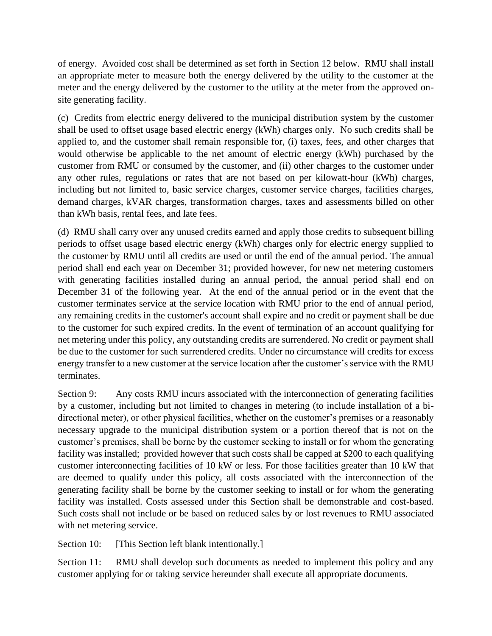of energy. Avoided cost shall be determined as set forth in Section 12 below. RMU shall install an appropriate meter to measure both the energy delivered by the utility to the customer at the meter and the energy delivered by the customer to the utility at the meter from the approved onsite generating facility.

(c) Credits from electric energy delivered to the municipal distribution system by the customer shall be used to offset usage based electric energy (kWh) charges only. No such credits shall be applied to, and the customer shall remain responsible for, (i) taxes, fees, and other charges that would otherwise be applicable to the net amount of electric energy (kWh) purchased by the customer from RMU or consumed by the customer, and (ii) other charges to the customer under any other rules, regulations or rates that are not based on per kilowatt-hour (kWh) charges, including but not limited to, basic service charges, customer service charges, facilities charges, demand charges, kVAR charges, transformation charges, taxes and assessments billed on other than kWh basis, rental fees, and late fees.

(d) RMU shall carry over any unused credits earned and apply those credits to subsequent billing periods to offset usage based electric energy (kWh) charges only for electric energy supplied to the customer by RMU until all credits are used or until the end of the annual period. The annual period shall end each year on December 31; provided however, for new net metering customers with generating facilities installed during an annual period, the annual period shall end on December 31 of the following year. At the end of the annual period or in the event that the customer terminates service at the service location with RMU prior to the end of annual period, any remaining credits in the customer's account shall expire and no credit or payment shall be due to the customer for such expired credits. In the event of termination of an account qualifying for net metering under this policy, any outstanding credits are surrendered. No credit or payment shall be due to the customer for such surrendered credits. Under no circumstance will credits for excess energy transfer to a new customer at the service location after the customer's service with the RMU terminates.

Section 9: Any costs RMU incurs associated with the interconnection of generating facilities by a customer, including but not limited to changes in metering (to include installation of a bidirectional meter), or other physical facilities, whether on the customer's premises or a reasonably necessary upgrade to the municipal distribution system or a portion thereof that is not on the customer's premises, shall be borne by the customer seeking to install or for whom the generating facility was installed; provided however that such costs shall be capped at \$200 to each qualifying customer interconnecting facilities of 10 kW or less. For those facilities greater than 10 kW that are deemed to qualify under this policy, all costs associated with the interconnection of the generating facility shall be borne by the customer seeking to install or for whom the generating facility was installed. Costs assessed under this Section shall be demonstrable and cost-based. Such costs shall not include or be based on reduced sales by or lost revenues to RMU associated with net metering service.

Section 10: [This Section left blank intentionally.]

Section 11: RMU shall develop such documents as needed to implement this policy and any customer applying for or taking service hereunder shall execute all appropriate documents.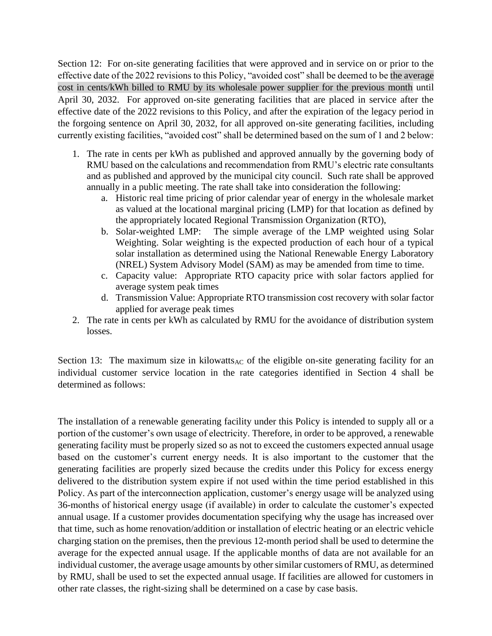Section 12: For on-site generating facilities that were approved and in service on or prior to the effective date of the 2022 revisions to this Policy, "avoided cost" shall be deemed to be the average cost in cents/kWh billed to RMU by its wholesale power supplier for the previous month until April 30, 2032. For approved on-site generating facilities that are placed in service after the effective date of the 2022 revisions to this Policy, and after the expiration of the legacy period in the forgoing sentence on April 30, 2032, for all approved on-site generating facilities, including currently existing facilities, "avoided cost" shall be determined based on the sum of 1 and 2 below:

- 1. The rate in cents per kWh as published and approved annually by the governing body of RMU based on the calculations and recommendation from RMU's electric rate consultants and as published and approved by the municipal city council. Such rate shall be approved annually in a public meeting. The rate shall take into consideration the following:
	- a. Historic real time pricing of prior calendar year of energy in the wholesale market as valued at the locational marginal pricing (LMP) for that location as defined by the appropriately located Regional Transmission Organization (RTO),
	- b. Solar-weighted LMP: The simple average of the LMP weighted using Solar Weighting. Solar weighting is the expected production of each hour of a typical solar installation as determined using the National Renewable Energy Laboratory (NREL) System Advisory Model (SAM) as may be amended from time to time.
	- c. Capacity value: Appropriate RTO capacity price with solar factors applied for average system peak times
	- d. Transmission Value: Appropriate RTO transmission cost recovery with solar factor applied for average peak times
- 2. The rate in cents per kWh as calculated by RMU for the avoidance of distribution system losses.

Section 13: The maximum size in kilowatts<sub>AC</sub> of the eligible on-site generating facility for an individual customer service location in the rate categories identified in Section 4 shall be determined as follows:

The installation of a renewable generating facility under this Policy is intended to supply all or a portion of the customer's own usage of electricity. Therefore, in order to be approved, a renewable generating facility must be properly sized so as not to exceed the customers expected annual usage based on the customer's current energy needs. It is also important to the customer that the generating facilities are properly sized because the credits under this Policy for excess energy delivered to the distribution system expire if not used within the time period established in this Policy. As part of the interconnection application, customer's energy usage will be analyzed using 36-months of historical energy usage (if available) in order to calculate the customer's expected annual usage. If a customer provides documentation specifying why the usage has increased over that time, such as home renovation/addition or installation of electric heating or an electric vehicle charging station on the premises, then the previous 12-month period shall be used to determine the average for the expected annual usage. If the applicable months of data are not available for an individual customer, the average usage amounts by other similar customers of RMU, as determined by RMU, shall be used to set the expected annual usage. If facilities are allowed for customers in other rate classes, the right-sizing shall be determined on a case by case basis.